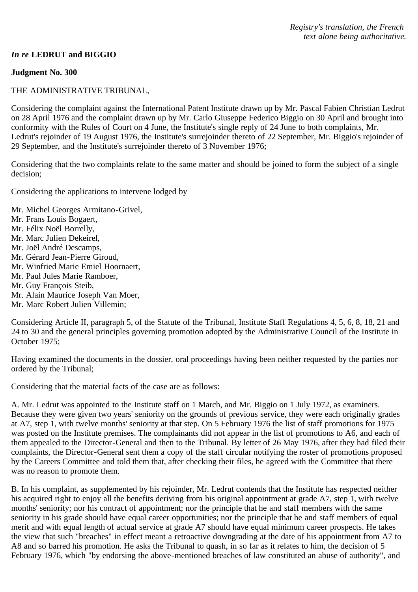## *In re* **LEDRUT and BIGGIO**

### **Judgment No. 300**

### THE ADMINISTRATIVE TRIBUNAL,

Considering the complaint against the International Patent Institute drawn up by Mr. Pascal Fabien Christian Ledrut on 28 April 1976 and the complaint drawn up by Mr. Carlo Giuseppe Federico Biggio on 30 April and brought into conformity with the Rules of Court on 4 June, the Institute's single reply of 24 June to both complaints, Mr. Ledrut's rejoinder of 19 August 1976, the Institute's surrejoinder thereto of 22 September, Mr. Biggio's rejoinder of 29 September, and the Institute's surrejoinder thereto of 3 November 1976;

Considering that the two complaints relate to the same matter and should be joined to form the subject of a single decision;

Considering the applications to intervene lodged by

- Mr. Michel Georges Armitano-Grivel,
- Mr. Frans Louis Bogaert,
- Mr. Félix Noël Borrelly,
- Mr. Marc Julien Dekeirel,
- Mr. Joël André Descamps,
- Mr. Gérard Jean-Pierre Giroud,
- Mr. Winfried Marie Emiel Hoornaert,
- Mr. Paul Jules Marie Ramboer,
- Mr. Guy François Steib,
- Mr. Alain Maurice Joseph Van Moer,
- Mr. Marc Robert Julien Villemin;

Considering Article II, paragraph 5, of the Statute of the Tribunal, Institute Staff Regulations 4, 5, 6, 8, 18, 21 and 24 to 30 and the general principles governing promotion adopted by the Administrative Council of the Institute in October 1975;

Having examined the documents in the dossier, oral proceedings having been neither requested by the parties nor ordered by the Tribunal;

Considering that the material facts of the case are as follows:

A. Mr. Ledrut was appointed to the Institute staff on 1 March, and Mr. Biggio on 1 July 1972, as examiners. Because they were given two years' seniority on the grounds of previous service, they were each originally grades at A7, step 1, with twelve months' seniority at that step. On 5 February 1976 the list of staff promotions for 1975 was posted on the Institute premises. The complainants did not appear in the list of promotions to A6, and each of them appealed to the Director-General and then to the Tribunal. By letter of 26 May 1976, after they had filed their complaints, the Director-General sent them a copy of the staff circular notifying the roster of promotions proposed by the Careers Committee and told them that, after checking their files, he agreed with the Committee that there was no reason to promote them.

B. In his complaint, as supplemented by his rejoinder, Mr. Ledrut contends that the Institute has respected neither his acquired right to enjoy all the benefits deriving from his original appointment at grade A7, step 1, with twelve months' seniority; nor his contract of appointment; nor the principle that he and staff members with the same seniority in his grade should have equal career opportunities; nor the principle that he and staff members of equal merit and with equal length of actual service at grade A7 should have equal minimum career prospects. He takes the view that such "breaches" in effect meant a retroactive downgrading at the date of his appointment from A7 to A8 and so barred his promotion. He asks the Tribunal to quash, in so far as it relates to him, the decision of 5 February 1976, which "by endorsing the above-mentioned breaches of law constituted an abuse of authority", and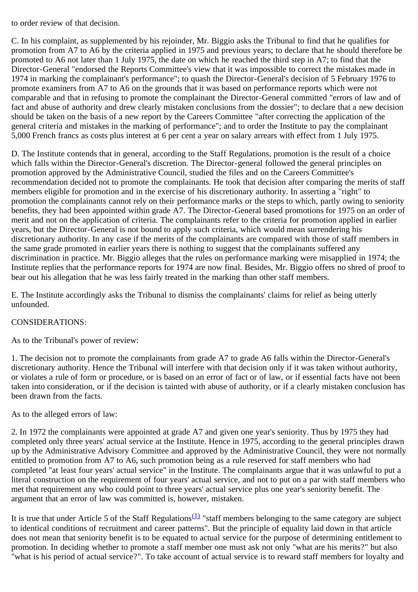to order review of that decision.

C. In his complaint, as supplemented by his rejoinder, Mr. Biggio asks the Tribunal to find that he qualifies for promotion from A7 to A6 by the criteria applied in 1975 and previous years; to declare that he should therefore be promoted to A6 not later than 1 July 1975, the date on which he reached the third step in A7; to find that the Director-General "endorsed the Reports Committee's view that it was impossible to correct the mistakes made in 1974 in marking the complainant's performance"; to quash the Director-General's decision of 5 February 1976 to promote examiners from A7 to A6 on the grounds that it was based on performance reports which were not comparable and that in refusing to promote the complainant the Director-General committed "errors of law and of fact and abuse of authority and drew clearly mistaken conclusions from the dossier"; to declare that a new decision should be taken on the basis of a new report by the Careers Committee "after correcting the application of the general criteria and mistakes in the marking of performance"; and to order the Institute to pay the complainant 5,000 French francs as costs plus interest at 6 per cent a year on salary arrears with effect from 1 July 1975.

D. The Institute contends that in general, according to the Staff Regulations, promotion is the result of a choice which falls within the Director-General's discretion. The Director-general followed the general principles on promotion approved by the Administrative Council, studied the files and on the Careers Committee's recommendation decided not to promote the complainants. He took that decision after comparing the merits of staff members eligible for promotion and in the exercise of his discretionary authority. In asserting a "right" to promotion the complainants cannot rely on their performance marks or the steps to which, partly owing to seniority benefits, they had been appointed within grade A7. The Director-General based promotions for 1975 on an order of merit and not on the application of criteria. The complainants refer to the criteria for promotion applied in earlier years, but the Director-General is not bound to apply such criteria, which would mean surrendering his discretionary authority. In any case if the merits of the complainants are compared with those of staff members in the same grade promoted in earlier years there is nothing to suggest that the complainants suffered any discrimination in practice. Mr. Biggio alleges that the rules on performance marking were misapplied in 1974; the Institute replies that the performance reports for 1974 are now final. Besides, Mr. Biggio offers no shred of proof to bear out his allegation that he was less fairly treated in the marking than other staff members.

E. The Institute accordingly asks the Tribunal to dismiss the complainants' claims for relief as being utterly unfounded.

### CONSIDERATIONS:

As to the Tribunal's power of review:

1. The decision not to promote the complainants from grade A7 to grade A6 falls within the Director-General's discretionary authority. Hence the Tribunal will interfere with that decision only if it was taken without authority, or violates a rule of form or procedure, or is based on an error of fact or of law, or if essential facts have not been taken into consideration, or if the decision is tainted with abuse of authority, or if a clearly mistaken conclusion has been drawn from the facts.

As to the alleged errors of law:

2. In 1972 the complainants were appointed at grade A7 and given one year's seniority. Thus by 1975 they had completed only three years' actual service at the Institute. Hence in 1975, according to the general principles drawn up by the Administrative Advisory Committee and approved by the Administrative Council, they were not normally entitled to promotion from A7 to A6, such promotion being as a rule reserved for staff members who had completed "at least four years' actual service" in the Institute. The complainants argue that it was unlawful to put a literal construction on the requirement of four years' actual service, and not to put on a par with staff members who met that requirement any who could point to three years' actual service plus one year's seniority benefit. The argument that an error of law was committed is, however, mistaken.

It is true that under Article 5 of the Staff Regulations<sup>[\(1\)](#page-3-0)</sup> "staff members belonging to the same category are subject to identical conditions of recruitment and career patterns". But the principle of equality laid down in that article does not mean that seniority benefit is to be equated to actual service for the purpose of determining entitlement to promotion. In deciding whether to promote a staff member one must ask not only "what are his merits?" but also "what is his period of actual service?". To take account of actual service is to reward staff members for loyalty and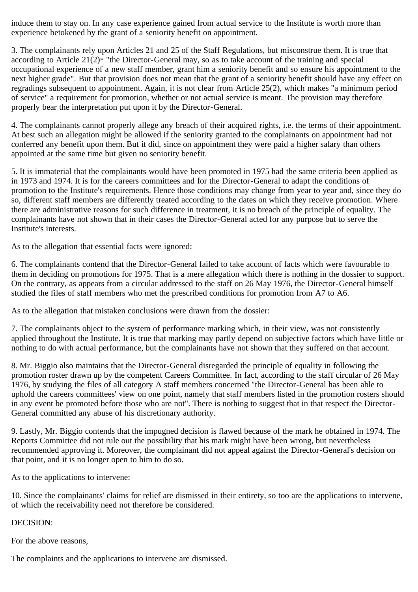induce them to stay on. In any case experience gained from actual service to the Institute is worth more than experience betokened by the grant of a seniority benefit on appointment.

3. The complainants rely upon Articles 21 and 25 of the Staff Regulations, but misconstrue them. It is true that according to Article 21(2)\* "the Director-General may, so as to take account of the training and special occupational experience of a new staff member, grant him a seniority benefit and so ensure his appointment to the next higher grade". But that provision does not mean that the grant of a seniority benefit should have any effect on regradings subsequent to appointment. Again, it is not clear from Article 25(2), which makes "a minimum period of service" a requirement for promotion, whether or not actual service is meant. The provision may therefore properly bear the interpretation put upon it by the Director-General.

4. The complainants cannot properly allege any breach of their acquired rights, i.e. the terms of their appointment. At best such an allegation might be allowed if the seniority granted to the complainants on appointment had not conferred any benefit upon them. But it did, since on appointment they were paid a higher salary than others appointed at the same time but given no seniority benefit.

5. It is immaterial that the complainants would have been promoted in 1975 had the same criteria been applied as in 1973 and 1974. It is for the careers committees and for the Director-General to adapt the conditions of promotion to the Institute's requirements. Hence those conditions may change from year to year and, since they do so, different staff members are differently treated according to the dates on which they receive promotion. Where there are administrative reasons for such difference in treatment, it is no breach of the principle of equality. The complainants have not shown that in their cases the Director-General acted for any purpose but to serve the Institute's interests.

As to the allegation that essential facts were ignored:

6. The complainants contend that the Director-General failed to take account of facts which were favourable to them in deciding on promotions for 1975. That is a mere allegation which there is nothing in the dossier to support. On the contrary, as appears from a circular addressed to the staff on 26 May 1976, the Director-General himself studied the files of staff members who met the prescribed conditions for promotion from A7 to A6.

As to the allegation that mistaken conclusions were drawn from the dossier:

7. The complainants object to the system of performance marking which, in their view, was not consistently applied throughout the Institute. It is true that marking may partly depend on subjective factors which have little or nothing to do with actual performance, but the complainants have not shown that they suffered on that account.

8. Mr. Biggio also maintains that the Director-General disregarded the principle of equality in following the promotion roster drawn up by the competent Careers Committee. In fact, according to the staff circular of 26 May 1976, by studying the files of all category A staff members concerned "the Director-General has been able to uphold the careers committees' view on one point, namely that staff members listed in the promotion rosters should in any event be promoted before those who are not". There is nothing to suggest that in that respect the Director-General committed any abuse of his discretionary authority.

9. Lastly, Mr. Biggio contends that the impugned decision is flawed because of the mark he obtained in 1974. The Reports Committee did not rule out the possibility that his mark might have been wrong, but nevertheless recommended approving it. Moreover, the complainant did not appeal against the Director-General's decision on that point, and it is no longer open to him to do so.

As to the applications to intervene:

10. Since the complainants' claims for relief are dismissed in their entirety, so too are the applications to intervene, of which the receivability need not therefore be considered.

# DECISION:

For the above reasons,

The complaints and the applications to intervene are dismissed.